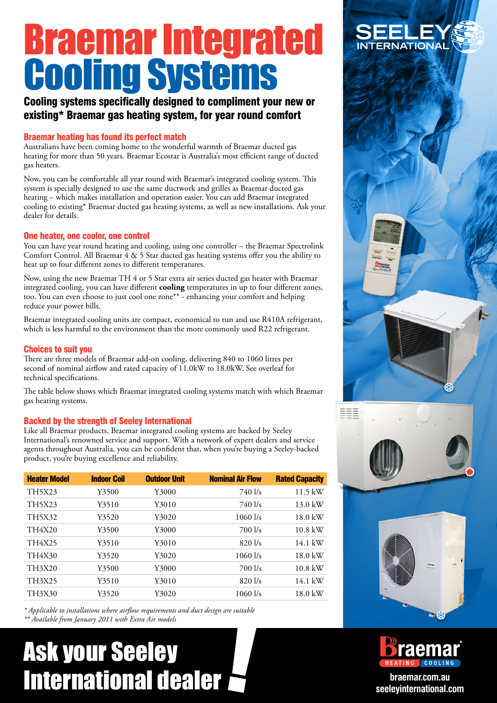# Braemar Integrated Cooling Systems

#### Cooling systems specifically designed to compliment your new or existing\* Braemar gas heating system, for year round comfort

#### Braemar heating has found its perfect match

Australians have been coming home to the wonderful warmth of Braemar ducted gas heating for more than 50 years. Braemar Ecostar is Australia's most efficient range of ducted gas heaters.

Now, you can be comfortable all year round with Braemar's integrated cooling system. This system is specially designed to use the same ductwork and grilles as Braemar ducted gas heating – which makes installation and operation easier. You can add Braemar integrated cooling to existing\* Braemar ducted gas heating systems, as well as new installations. Ask your dealer for details.

#### One heater, one cooler, one control

You can have year round heating and cooling, using one controller – the Braemar Spectrolink Comfort Control. All Braemar 4 & 5 Star ducted gas heating systems offer you the ability to heat up to four different zones to different temperatures.

Now, using the new Braemar TH 4 or 5 Star extra air series ducted gas heater with Braemar integrated cooling, you can have different **cooling** temperatures in up to four different zones, too. You can even choose to just cool one zone\*\* - enhancing your comfort and helping reduce your power bills.

Braemar integrated cooling units are compact, economical to run and use R410A refrigerant, which is less harmful to the environment than the more commonly used R22 refrigerant.

#### Choices to suit you

There are three models of Braemar add-on cooling, delivering 840 to 1060 litres per second of nominal airflow and rated capacity of 11.0kW to 18.0kW. See overleaf for technical specifications.

The table below shows which Braemar integrated cooling systems match with which Braemar gas heating systems.

#### Backed by the strength of Seeley International

Like all Braemar products, Braemar integrated cooling systems are backed by Seeley International's renowned service and support. With a network of expert dealers and service agents throughout Australia, you can be confident that, when you're buying a Seeley-backed product, you're buying excellence and reliability.

| <b>Heater Model</b> | <b>Indoor Coil</b> | <b>Outdoor Unit</b> | <b>Nominal Air Flow</b> | <b>Rated Capacity</b> |
|---------------------|--------------------|---------------------|-------------------------|-----------------------|
| TH5X23              | Y3500              | Y3000               | $740$ $1/s$             | $11.5$ kW             |
| TH5X23              | Y3510              | Y3010               | $740$ $1/s$             | 13.0 kW               |
| TH5X32              | Y3520              | Y3020               | $1060$ $1/s$            | 18.0 kW               |
| TH4X20              | Y3500              | Y3000               | $700$ $1/s$             | $10.8$ kW             |
| TH4X25              | Y3510              | Y3010               | 8201/s                  | $14.1 \text{ kW}$     |
| TH4X30              | Y3520              | Y3020               | $1060$ $1/s$            | 18.0 kW               |
| TH3X20              | Y3500              | Y3000               | $700$ $1/s$             | $10.8$ kW             |
| TH3X25              | Y3510              | Y3010               | 8201/s                  | 14.1 kW               |
| TH3X30              | Y3520              | Y3020               | $1060$ $1/s$            | 18.0 kW               |

*\* Applicable to installations where airflow requirements and duct design are suitable*

*\*\* Available from January 2011 with Extra Air models*

## Ask your Seeley International dealer **braemar.com.au**









**seeleyinternational.com**